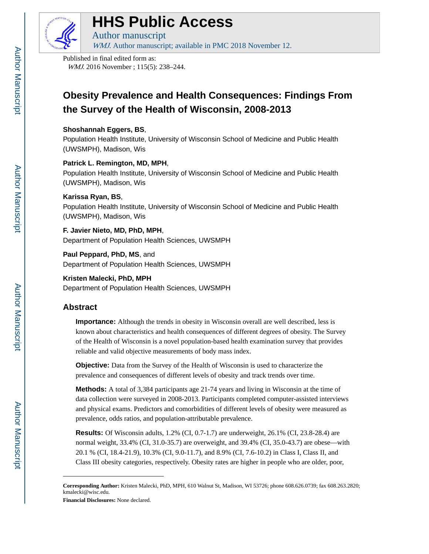

# **HHS Public Access**

Author manuscript WMJ. Author manuscript; available in PMC 2018 November 12.

Published in final edited form as: WMJ. 2016 November ; 115(5): 238-244.

## **Obesity Prevalence and Health Consequences: Findings From the Survey of the Health of Wisconsin, 2008-2013**

## **Shoshannah Eggers, BS**,

Population Health Institute, University of Wisconsin School of Medicine and Public Health (UWSMPH), Madison, Wis

## **Patrick L. Remington, MD, MPH**,

Population Health Institute, University of Wisconsin School of Medicine and Public Health (UWSMPH), Madison, Wis

## **Karissa Ryan, BS**,

Population Health Institute, University of Wisconsin School of Medicine and Public Health (UWSMPH), Madison, Wis

## **F. Javier Nieto, MD, PhD, MPH**,

Department of Population Health Sciences, UWSMPH

## **Paul Peppard, PhD, MS**, and

Department of Population Health Sciences, UWSMPH

## **Kristen Malecki, PhD, MPH** Department of Population Health Sciences, UWSMPH

## **Abstract**

**Importance:** Although the trends in obesity in Wisconsin overall are well described, less is known about characteristics and health consequences of different degrees of obesity. The Survey of the Health of Wisconsin is a novel population-based health examination survey that provides reliable and valid objective measurements of body mass index.

**Objective:** Data from the Survey of the Health of Wisconsin is used to characterize the prevalence and consequences of different levels of obesity and track trends over time.

**Methods:** A total of 3,384 participants age 21-74 years and living in Wisconsin at the time of data collection were surveyed in 2008-2013. Participants completed computer-assisted interviews and physical exams. Predictors and comorbidities of different levels of obesity were measured as prevalence, odds ratios, and population-attributable prevalence.

**Results:** Of Wisconsin adults, 1.2% (CI, 0.7-1.7) are underweight, 26.1% (CI, 23.8-28.4) are normal weight, 33.4% (CI, 31.0-35.7) are overweight, and 39.4% (CI, 35.0-43.7) are obese—with 20.1 % (CI, 18.4-21.9), 10.3% (CI, 9.0-11.7), and 8.9% (CI, 7.6-10.2) in Class I, Class II, and Class III obesity categories, respectively. Obesity rates are higher in people who are older, poor,

**Financial Disclosures:** None declared.

**Corresponding Author:** Kristen Malecki, PhD, MPH, 610 Walnut St, Madison, WI 53726; phone 608.626.0739; fax 608.263.2820; kmalecki@wisc.edu.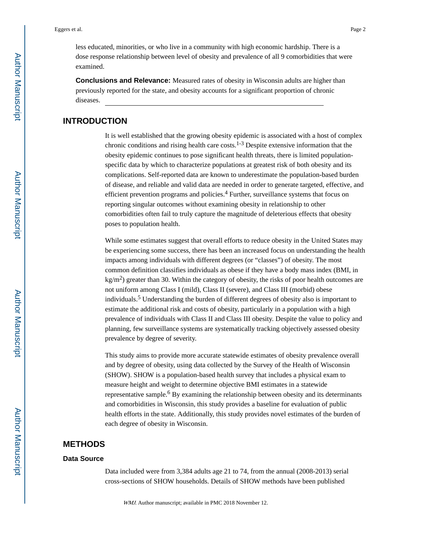less educated, minorities, or who live in a community with high economic hardship. There is a dose response relationship between level of obesity and prevalence of all 9 comorbidities that were examined.

**Conclusions and Relevance:** Measured rates of obesity in Wisconsin adults are higher than previously reported for the state, and obesity accounts for a significant proportion of chronic diseases.

## **INTRODUCTION**

It is well established that the growing obesity epidemic is associated with a host of complex chronic conditions and rising health care costs.<sup>1-3</sup> Despite extensive information that the obesity epidemic continues to pose significant health threats, there is limited populationspecific data by which to characterize populations at greatest risk of both obesity and its complications. Self-reported data are known to underestimate the population-based burden of disease, and reliable and valid data are needed in order to generate targeted, effective, and efficient prevention programs and policies.<sup>4</sup> Further, surveillance systems that focus on reporting singular outcomes without examining obesity in relationship to other comorbidities often fail to truly capture the magnitude of deleterious effects that obesity poses to population health.

While some estimates suggest that overall efforts to reduce obesity in the United States may be experiencing some success, there has been an increased focus on understanding the health impacts among individuals with different degrees (or "classes") of obesity. The most common definition classifies individuals as obese if they have a body mass index (BMI, in  $\text{kg/m}^2$ ) greater than 30. Within the category of obesity, the risks of poor health outcomes are not uniform among Class I (mild), Class II (severe), and Class III (morbid) obese individuals.<sup>5</sup> Understanding the burden of different degrees of obesity also is important to estimate the additional risk and costs of obesity, particularly in a population with a high prevalence of individuals with Class II and Class III obesity. Despite the value to policy and planning, few surveillance systems are systematically tracking objectively assessed obesity prevalence by degree of severity.

This study aims to provide more accurate statewide estimates of obesity prevalence overall and by degree of obesity, using data collected by the Survey of the Health of Wisconsin (SHOW). SHOW is a population-based health survey that includes a physical exam to measure height and weight to determine objective BMI estimates in a statewide representative sample.<sup>6</sup> By examining the relationship between obesity and its determinants and comorbidities in Wisconsin, this study provides a baseline for evaluation of public health efforts in the state. Additionally, this study provides novel estimates of the burden of each degree of obesity in Wisconsin.

## **METHODS**

#### **Data Source**

Data included were from 3,384 adults age 21 to 74, from the annual (2008-2013) serial cross-sections of SHOW households. Details of SHOW methods have been published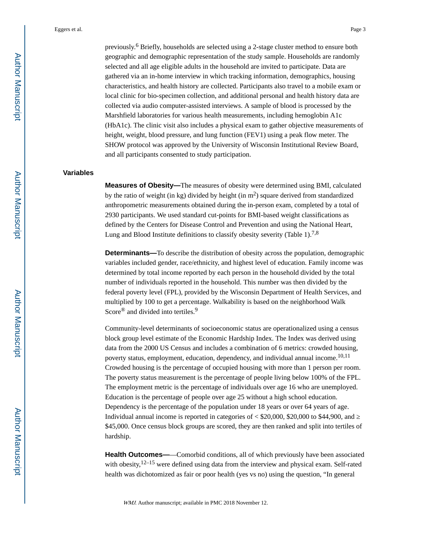previously.<sup>6</sup> Briefly, households are selected using a 2-stage cluster method to ensure both geographic and demographic representation of the study sample. Households are randomly selected and all age eligible adults in the household are invited to participate. Data are gathered via an in-home interview in which tracking information, demographics, housing characteristics, and health history are collected. Participants also travel to a mobile exam or local clinic for bio-specimen collection, and additional personal and health history data are collected via audio computer-assisted interviews. A sample of blood is processed by the Marshfield laboratories for various health measurements, including hemoglobin A1c (HbA1c). The clinic visit also includes a physical exam to gather objective measurements of height, weight, blood pressure, and lung function (FEV1) using a peak flow meter. The SHOW protocol was approved by the University of Wisconsin Institutional Review Board, and all participants consented to study participation.

#### **Variables**

**Measures of Obesity—**The measures of obesity were determined using BMI, calculated by the ratio of weight (in kg) divided by height (in  $m<sup>2</sup>$ ) square derived from standardized anthropometric measurements obtained during the in-person exam, completed by a total of 2930 participants. We used standard cut-points for BMI-based weight classifications as defined by the Centers for Disease Control and Prevention and using the National Heart, Lung and Blood Institute definitions to classify obesity severity (Table 1).<sup>7,8</sup>

**Determinants—**To describe the distribution of obesity across the population, demographic variables included gender, race/ethnicity, and highest level of education. Family income was determined by total income reported by each person in the household divided by the total number of individuals reported in the household. This number was then divided by the federal poverty level (FPL), provided by the Wisconsin Department of Health Services, and multiplied by 100 to get a percentage. Walkability is based on the neighborhood Walk Score<sup>®</sup> and divided into tertiles.<sup>9</sup>

Community-level determinants of socioeconomic status are operationalized using a census block group level estimate of the Economic Hardship Index. The Index was derived using data from the 2000 US Census and includes a combination of 6 metrics: crowded housing, poverty status, employment, education, dependency, and individual annual income.<sup>10,11</sup> Crowded housing is the percentage of occupied housing with more than 1 person per room. The poverty status measurement is the percentage of people living below 100% of the FPL. The employment metric is the percentage of individuals over age 16 who are unemployed. Education is the percentage of people over age 25 without a high school education. Dependency is the percentage of the population under 18 years or over 64 years of age. Individual annual income is reported in categories of  $\lt$  \$20,000, \$20,000 to \$44,900, and \$45,000. Once census block groups are scored, they are then ranked and split into tertiles of hardship.

**Health Outcomes——**Comorbid conditions, all of which previously have been associated with obesity, $12-15$  were defined using data from the interview and physical exam. Self-rated health was dichotomized as fair or poor health (yes vs no) using the question, "In general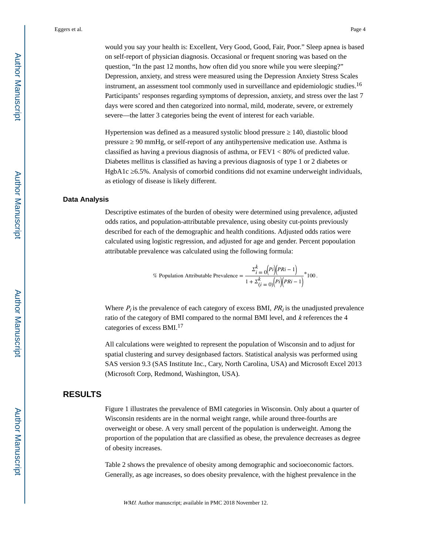would you say your health is: Excellent, Very Good, Good, Fair, Poor." Sleep apnea is based on self-report of physician diagnosis. Occasional or frequent snoring was based on the question, "In the past 12 months, how often did you snore while you were sleeping?" Depression, anxiety, and stress were measured using the Depression Anxiety Stress Scales instrument, an assessment tool commonly used in surveillance and epidemiologic studies.<sup>16</sup> Participants' responses regarding symptoms of depression, anxiety, and stress over the last 7 days were scored and then categorized into normal, mild, moderate, severe, or extremely severe—the latter 3 categories being the event of interest for each variable.

Hypertension was defined as a measured systolic blood pressure 140, diastolic blood pressure 90 mmHg, or self-report of any antihypertensive medication use. Asthma is classified as having a previous diagnosis of asthma, or FEV1 < 80% of predicted value. Diabetes mellitus is classified as having a previous diagnosis of type 1 or 2 diabetes or HgbA1c 6.5%. Analysis of comorbid conditions did not examine underweight individuals, as etiology of disease is likely different.

#### **Data Analysis**

Descriptive estimates of the burden of obesity were determined using prevalence, adjusted odds ratios, and population-attributable prevalence, using obesity cut-points previously described for each of the demographic and health conditions. Adjusted odds ratios were calculated using logistic regression, and adjusted for age and gender. Percent popoulation attributable prevalence was calculated using the following formula:

% Population Attributable Prevalence = 
$$
\frac{\Sigma_{i=0}^{k} (Pi)(PRi-1)}{1 + \Sigma_{(i=0)}^{k} (Pi)(PRi-1)} * 100.
$$

Where  $P_i$  is the prevalence of each category of excess BMI,  $PR_i$  is the unadjusted prevalence ratio of the category of BMI compared to the normal BMI level, and k references the 4 categories of excess BMI.<sup>17</sup>

All calculations were weighted to represent the population of Wisconsin and to adjust for spatial clustering and survey designbased factors. Statistical analysis was performed using SAS version 9.3 (SAS Institute Inc., Cary, North Carolina, USA) and Microsoft Excel 2013 (Microsoft Corp, Redmond, Washington, USA).

## **RESULTS**

Figure 1 illustrates the prevalence of BMI categories in Wisconsin. Only about a quarter of Wisconsin residents are in the normal weight range, while around three-fourths are overweight or obese. A very small percent of the population is underweight. Among the proportion of the population that are classified as obese, the prevalence decreases as degree of obesity increases.

Table 2 shows the prevalence of obesity among demographic and socioeconomic factors. Generally, as age increases, so does obesity prevalence, with the highest prevalence in the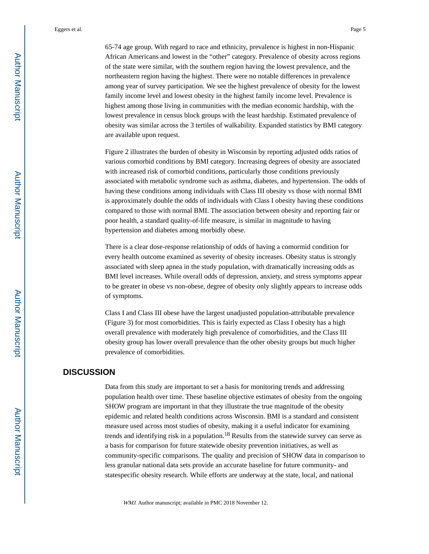65-74 age group. With regard to race and ethnicity, prevalence is highest in non-Hispanic African Americans and lowest in the "other" category. Prevalence of obesity across regions of the state were similar, with the southern region having the lowest prevalence, and the northeastern region having the highest. There were no notable differences in prevalence among year of survey participation. We see the highest prevalence of obesity for the lowest family income level and lowest obesity in the highest family income level. Prevalence is highest among those living in communities with the median economic hardship, with the lowest prevalence in census block groups with the least hardship. Estimated prevalence of obesity was similar across the 3 tertiles of walkability. Expanded statistics by BMI category are available upon request.

Figure 2 illustrates the burden of obesity in Wisconsin by reporting adjusted odds ratios of various comorbid conditions by BMI category. Increasing degrees of obesity are associated with increased risk of comorbid conditions, particularly those conditions previously associated with metabolic syndrome such as asthma, diabetes, and hypertension. The odds of having these conditions among individuals with Class III obesity vs those with normal BMI is approximately double the odds of individuals with Class I obesity having these conditions compared to those with normal BMI. The association between obesity and reporting fair or poor health, a standard quality-of-life measure, is similar in magnitude to having hypertension and diabetes among morbidly obese.

There is a clear dose-response relationship of odds of having a comormid condition for every health outcome examined as severity of obesity increases. Obesity status is strongly associated with sleep apnea in the study population, with dramatically increasing odds as BMI level increases. While overall odds of depression, anxiety, and stress symptoms appear to be greater in obese vs non-obese, degree of obesity only slightly appears to increase odds of symptoms.

Class I and Class III obese have the largest unadjusted population-attributable prevalence (Figure 3) for most comorbidities. This is fairly expected as Class I obesity has a high overall prevalence with moderately high prevalence of comorbidities, and the Class III obesity group has lower overall prevalence than the other obesity groups but much higher prevalence of comorbidities.

## **DISCUSSION**

Data from this study are important to set a basis for monitoring trends and addressing population health over time. These baseline objective estimates of obesity from the ongoing SHOW program are important in that they illustrate the true magnitude of the obesity epidemic and related health conditions across Wisconsin. BMI is a standard and consistent measure used across most studies of obesity, making it a useful indicator for examining trends and identifying risk in a population.18 Results from the statewide survey can serve as a basis for comparison for future statewide obesity prevention initiatives, as well as community-specific comparisons. The quality and precision of SHOW data in comparison to less granular national data sets provide an accurate baseline for future community- and statespecific obesity research. While efforts are underway at the state, local, and national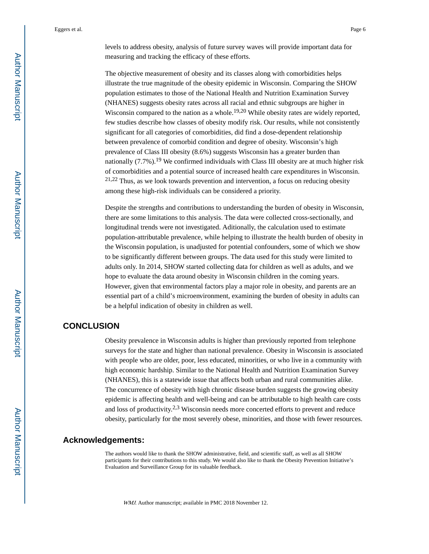levels to address obesity, analysis of future survey waves will provide important data for measuring and tracking the efficacy of these efforts.

The objective measurement of obesity and its classes along with comorbidities helps illustrate the true magnitude of the obesity epidemic in Wisconsin. Comparing the SHOW population estimates to those of the National Health and Nutrition Examination Survey (NHANES) suggests obesity rates across all racial and ethnic subgroups are higher in Wisconsin compared to the nation as a whole.<sup>19,20</sup> While obesity rates are widely reported, few studies describe how classes of obesity modify risk. Our results, while not consistently significant for all categories of comorbidities, did find a dose-dependent relationship between prevalence of comorbid condition and degree of obesity. Wisconsin's high prevalence of Class III obesity (8.6%) suggests Wisconsin has a greater burden than nationally  $(7.7\%)$ .<sup>19</sup> We confirmed individuals with Class III obesity are at much higher risk of comorbidities and a potential source of increased health care expenditures in Wisconsin. 21,22 Thus, as we look towards prevention and intervention, a focus on reducing obesity among these high-risk individuals can be considered a priority.

Despite the strengths and contributions to understanding the burden of obesity in Wisconsin, there are some limitations to this analysis. The data were collected cross-sectionally, and longitudinal trends were not investigated. Aditionally, the calculation used to estimate population-attributable prevalence, while helping to illustrate the health burden of obesity in the Wisconsin population, is unadjusted for potential confounders, some of which we show to be significantly different between groups. The data used for this study were limited to adults only. In 2014, SHOW started collecting data for children as well as adults, and we hope to evaluate the data around obesity in Wisconsin children in the coming years. However, given that environmental factors play a major role in obesity, and parents are an essential part of a child's microenvironment, examining the burden of obesity in adults can be a helpful indication of obesity in children as well.

## **CONCLUSION**

Obesity prevalence in Wisconsin adults is higher than previously reported from telephone surveys for the state and higher than national prevalence. Obesity in Wisconsin is associated with people who are older, poor, less educated, minorities, or who live in a community with high economic hardship. Similar to the National Health and Nutrition Examination Survey (NHANES), this is a statewide issue that affects both urban and rural communities alike. The concurrence of obesity with high chronic disease burden suggests the growing obesity epidemic is affecting health and well-being and can be attributable to high health care costs and loss of productivity.<sup>2,3</sup> Wisconsin needs more concerted efforts to prevent and reduce obesity, particularly for the most severely obese, minorities, and those with fewer resources.

#### **Acknowledgements:**

The authors would like to thank the SHOW administrative, field, and scientific staff, as well as all SHOW participants for their contributions to this study. We would also like to thank the Obesity Prevention Initiative's Evaluation and Surveillance Group for its valuable feedback.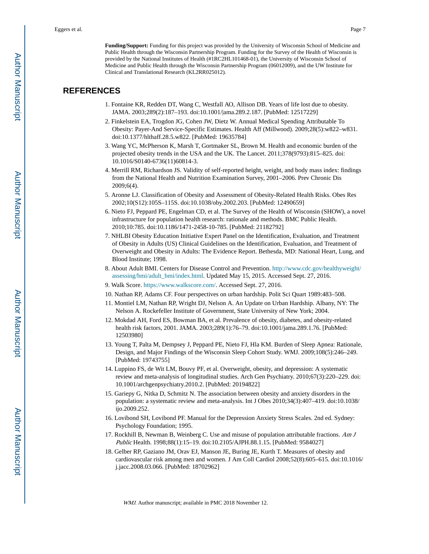**Funding/Support:** Funding for this project was provided by the University of Wisconsin School of Medicine and Public Health through the Wisconsin Partnership Program. Funding for the Survey of the Health of Wisconsin is provided by the National Institutes of Health (#1RC2HL101468-01), the University of Wisconsin School of Medicine and Public Health through the Wisconsin Partnership Program (06012009), and the UW Institute for Clinical and Translational Research (KL2RR025012).

## **REFERENCES**

- 1. Fontaine KR, Redden DT, Wang C, Westfall AO, Allison DB. Years of life lost due to obesity. JAMA. 2003;289(2):187–193. doi:10.1001/|ama.289.2.187. [PubMed: 12517229]
- 2. Finkelstein EA, Trogdon JG, Cohen JW, Dietz W. Annual Medical Spending Attributable To Obesity: Payer-And Service-Specific Estimates. Health Aff (Millwood). 2009;28(5):w822–w831. doi:10.1377/hlthaff.28.5.w822. [PubMed: 19635784]
- 3. Wang YC, McPherson K, Marsh T, Gortmaker SL, Brown M. Health and economic burden of the projected obesity trends in the USA and the UK. The Lancet. 2011;378(9793):815–825. doi: 10.1016/S0140-6736(11)60814-3.
- 4. Merrill RM, Richardson JS. Validity of self-reported height, weight, and body mass index: findings from the National Health and Nutrition Examination Survey, 2001–2006. Prev Chronic Dis 2009;6(4).
- 5. Aronne LJ. Classification of Obesity and Assessment of Obesity-Related Health Risks. Obes Res 2002;10(S12):105S–115S. doi:10.1038/oby.2002.203. [PubMed: 12490659]
- 6. Nieto FJ, Peppard PE, Engelman CD, et al. The Survey of the Health of Wisconsin (SHOW), a novel infrastructure for population health research: rationale and methods. BMC Public Health. 2010;10:785. doi:10.1186/1471-2458-10-785. [PubMed: 21182792]
- 7. NHLBI Obesity Education Initiative Expert Panel on the Identification, Evaluation, and Treatment of Obesity in Adults (US) Clinical Guidelines on the Identification, Evaluation, and Treatment of Overweight and Obesity in Adults: The Evidence Report. Bethesda, MD: National Heart, Lung, and Blood Institute; 1998.
- 8. About Adult BMI. Centers for Disease Control and Prevention. [http://www.cdc.gov/healthyweight/](http://www.cdc.gov/healthyweight/assessing/bmi/adult_bmi/index.html) [assessing/bmi/adult\\_bmi/index.html](http://www.cdc.gov/healthyweight/assessing/bmi/adult_bmi/index.html). Updated May 15, 2015. Accessed Sept. 27, 2016.
- 9. Walk Score. [https://www.walkscore.com/.](https://www.walkscore.com/) Accessed Sept. 27, 2016.
- 10. Nathan RP, Adams CF. Four perspectives on urban hardship. Polit Sci Quart 1989:483–508.
- 11. Montiel LM, Nathan RP, Wright DJ, Nelson A. An Update on Urban Hardship. Albany, NY: The Nelson A. Rockefeller Institute of Government, State University of New York; 2004.
- 12. Mokdad AH, Ford ES, Bowman BA, et al. Prevalence of obesity, diabetes, and obesity-related health risk factors, 2001. JAMA. 2003;289(1):76–79. doi:10.1001/jama.289.1.76. [PubMed: 12503980]
- 13. Young T, Palta M, Dempsey J, Peppard PE, Nieto FJ, Hla KM. Burden of Sleep Apnea: Rationale, Design, and Major Findings of the Wisconsin Sleep Cohort Study. WMJ. 2009;108(5):246–249. [PubMed: 19743755]
- 14. Luppino FS, de Wit LM, Bouvy PF, et al. Overweight, obesity, and depression: A systematic review and meta-analysis of longitudinal studies. Arch Gen Psychiatry. 2010;67(3):220–229. doi: 10.1001/archgenpsychiatry.2010.2. [PubMed: 20194822]
- 15. Gariepy G, Nitka D, Schmitz N. The association between obesity and anxiety disorders in the population: a systematic review and meta-analysis. Int J Obes 2010;34(3):407–419. doi:10.1038/ ijo.2009.252.
- 16. Lovibond SH, Lovibond PF. Manual for the Depression Anxiety Stress Scales. 2nd ed. Sydney: Psychology Foundation; 1995.
- 17. Rockhill B, Newman B, Weinberg C. Use and misuse of population attributable fractions. Am J Public Health. 1998;88(1):15-19. doi:10.2105/AJPH.88.1.15. [PubMed: 9584027]
- 18. Gelber RP, Gaziano JM, Orav EJ, Manson JE, Buring JE, Kurth T. Measures of obesity and cardiovascular risk among men and women. J Am Coll Cardiol 2008;52(8):605–615. doi:10.1016/ j.jacc.2008.03.066. [PubMed: 18702962]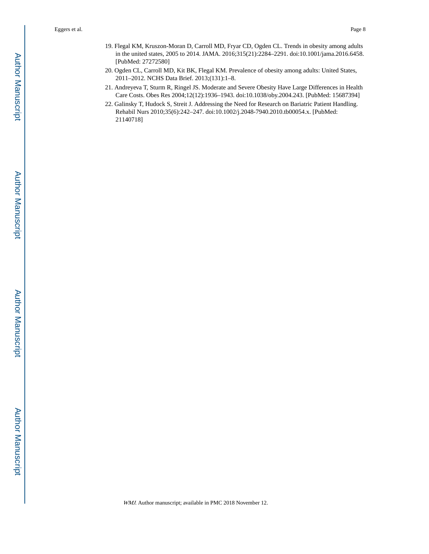- 19. Flegal KM, Kruszon-Moran D, Carroll MD, Fryar CD, Ogden CL. Trends in obesity among adults in the united states, 2005 to 2014. JAMA. 2016;315(21):2284–2291. doi:10.1001/jama.2016.6458. [PubMed: 27272580]
- 20. Ogden CL, Carroll MD, Kit BK, Flegal KM. Prevalence of obesity among adults: United States, 2011–2012. NCHS Data Brief. 2013;(131):1–8.
- 21. Andreyeva T, Sturm R, Ringel JS. Moderate and Severe Obesity Have Large Differences in Health Care Costs. Obes Res 2004;12(12):1936–1943. doi:10.1038/oby.2004.243. [PubMed: 15687394]
- 22. Galinsky T, Hudock S, Streit J. Addressing the Need for Research on Bariatric Patient Handling. Rehabil Nurs 2010;35(6):242–247. doi:10.1002/j.2048-7940.2010.tb00054.x. [PubMed: 21140718]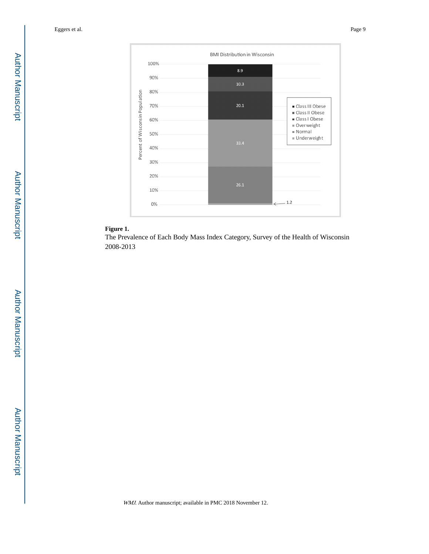

## **Figure 1.**

The Prevalence of Each Body Mass Index Category, Survey of the Health of Wisconsin 2008-2013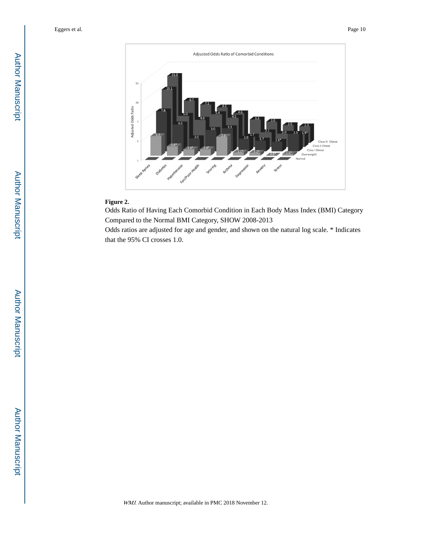

## **Figure 2.**

Odds Ratio of Having Each Comorbid Condition in Each Body Mass Index (BMI) Category Compared to the Normal BMI Category, SHOW 2008-2013

Odds ratios are adjusted for age and gender, and shown on the natural log scale. \* Indicates that the 95% CI crosses 1.0.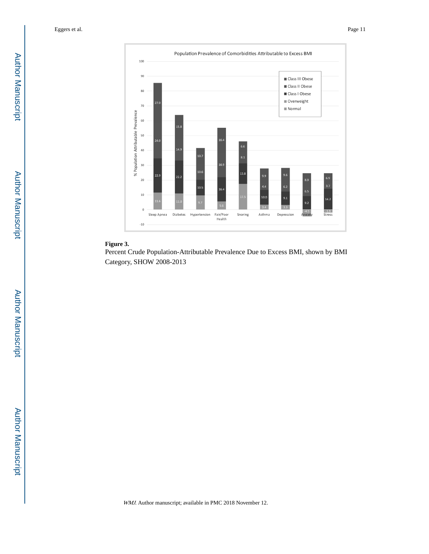

## **Figure 3.**

Percent Crude Population-Attributable Prevalence Due to Excess BMI, shown by BMI Category, SHOW 2008-2013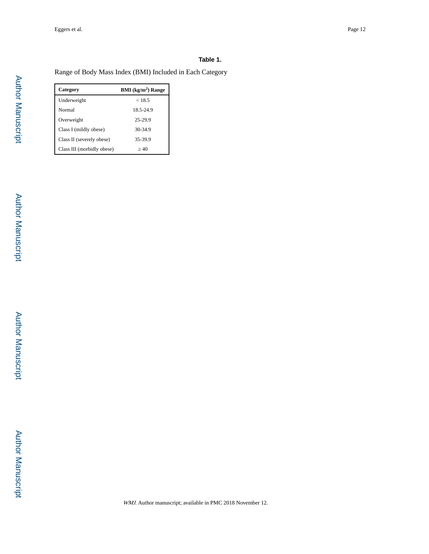#### **Table 1.**

Range of Body Mass Index (BMI) Included in Each Category

| Category                   | BMI (kg/m <sup>2</sup> ) Range |
|----------------------------|--------------------------------|
| Underweight                | < 18.5                         |
| Normal                     | 18.5-24.9                      |
| Overweight                 | 25-29.9                        |
| Class I (mildly obese)     | 30-34.9                        |
| Class II (severely obese)  | 35-39.9                        |
| Class III (morbidly obese) | 40                             |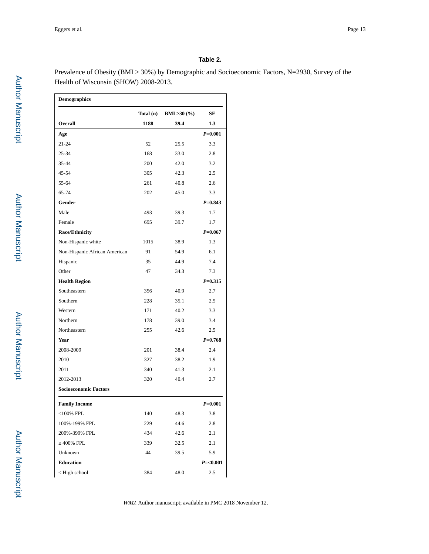#### **Table 2.**

Prevalence of Obesity (BMI ≥ 30%) by Demographic and Socioeconomic Factors, N=2930, Survey of the Health of Wisconsin (SHOW) 2008-2013.

| <b>Demographics</b>           |           |                       |             |
|-------------------------------|-----------|-----------------------|-------------|
|                               | Total (n) | <b>BMI</b> 30 $(\% )$ | SЕ          |
| Overall                       | 1188      | 39.4                  | 1.3         |
| Age                           |           |                       | $P = 0.001$ |
| $21 - 24$                     | 52        | 25.5                  | 3.3         |
| 25-34                         | 168       | 33.0                  | 2.8         |
| 35-44                         | 200       | 42.0                  | 3.2         |
| 45-54                         | 305       | 42.3                  | 2.5         |
| 55-64                         | 261       | 40.8                  | 2.6         |
| 65-74                         | 202       | 45.0                  | 3.3         |
| Gender                        |           |                       | $P = 0.843$ |
| Male                          | 493       | 39.3                  | 1.7         |
| Female                        | 695       | 39.7                  | 1.7         |
| <b>Race/Ethnicity</b>         |           |                       | $P = 0.067$ |
| Non-Hispanic white            | 1015      | 38.9                  | 1.3         |
| Non-Hispanic African American | 91        | 54.9                  | 6.1         |
| Hispanic                      | 35        | 44.9                  | 7.4         |
| Other                         | 47        | 34.3                  | 7.3         |
| <b>Health Region</b>          |           |                       | $P = 0.315$ |
| Southeastern                  | 356       | 40.9                  | 2.7         |
| Southern                      | 228       | 35.1                  | 2.5         |
| Western                       | 171       | 40.2                  | 3.3         |
| Northern                      | 178       | 39.0                  | 3.4         |
| Northeastern                  | 255       | 42.6                  | 2.5         |
| Year                          |           |                       | $P = 0.768$ |
| 2008-2009                     | 201       | 38.4                  | 2.4         |
| 2010                          | 327       | 38.2                  | 1.9         |
| 2011                          | 340       | 41.3                  | 2.1         |
| 2012-2013                     | 320       | 40.4                  | 2.7         |
| <b>Socioeconomic Factors</b>  |           |                       |             |
| <b>Family Income</b>          |           |                       | $P = 0.001$ |
| $<$ 100% FPL                  | 140       | 48.3                  | 3.8         |
| 100%-199% FPL                 | 229       | 44.6                  | 2.8         |
| 200%-399% FPL                 | 434       | 42.6                  | 2.1         |
| 400% FPL                      | 339       | 32.5                  | 2.1         |
| Unknown                       | 44        | 39.5                  | 5.9         |
| <b>Education</b>              |           |                       | $P = 0.001$ |
| High school                   | 384       | 48.0                  | 2.5         |